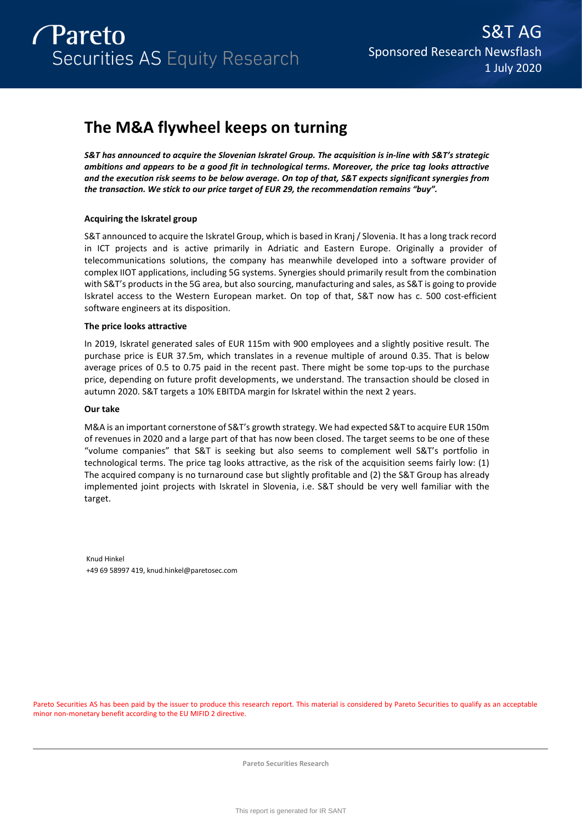# **The M&A flywheel keeps on turning**

*S&T has announced to acquire the Slovenian Iskratel Group. The acquisition is in-line with S&T's strategic ambitions and appears to be a good fit in technological terms. Moreover, the price tag looks attractive and the execution risk seems to be below average. On top of that, S&T expects significant synergies from the transaction. We stick to our price target of EUR 29, the recommendation remains "buy".* 

# **Acquiring the Iskratel group**

S&T announced to acquire the Iskratel Group, which is based in Kranj / Slovenia. It has a long track record in ICT projects and is active primarily in Adriatic and Eastern Europe. Originally a provider of telecommunications solutions, the company has meanwhile developed into a software provider of complex IIOT applications, including 5G systems. Synergies should primarily result from the combination with S&T's products in the 5G area, but also sourcing, manufacturing and sales, as S&T is going to provide Iskratel access to the Western European market. On top of that, S&T now has c. 500 cost-efficient software engineers at its disposition.

# **The price looks attractive**

In 2019, Iskratel generated sales of EUR 115m with 900 employees and a slightly positive result. The purchase price is EUR 37.5m, which translates in a revenue multiple of around 0.35. That is below average prices of 0.5 to 0.75 paid in the recent past. There might be some top-ups to the purchase price, depending on future profit developments, we understand. The transaction should be closed in autumn 2020. S&T targets a 10% EBITDA margin for Iskratel within the next 2 years.

# **Our take**

M&A is an important cornerstone of S&T's growth strategy. We had expected S&T to acquire EUR 150m of revenues in 2020 and a large part of that has now been closed. The target seems to be one of these "volume companies" that S&T is seeking but also seems to complement well S&T's portfolio in technological terms. The price tag looks attractive, as the risk of the acquisition seems fairly low: (1) The acquired company is no turnaround case but slightly profitable and (2) the S&T Group has already implemented joint projects with Iskratel in Slovenia, i.e. S&T should be very well familiar with the target.

Knud Hinkel +49 69 58997 419, knud.hinkel@paretosec.com

Pareto Securities AS has been paid by the issuer to produce this research report. This material is considered by Pareto Securities to qualify as an acceptable minor non-monetary benefit according to the EU MIFID 2 directive.

**Pareto Securities Research**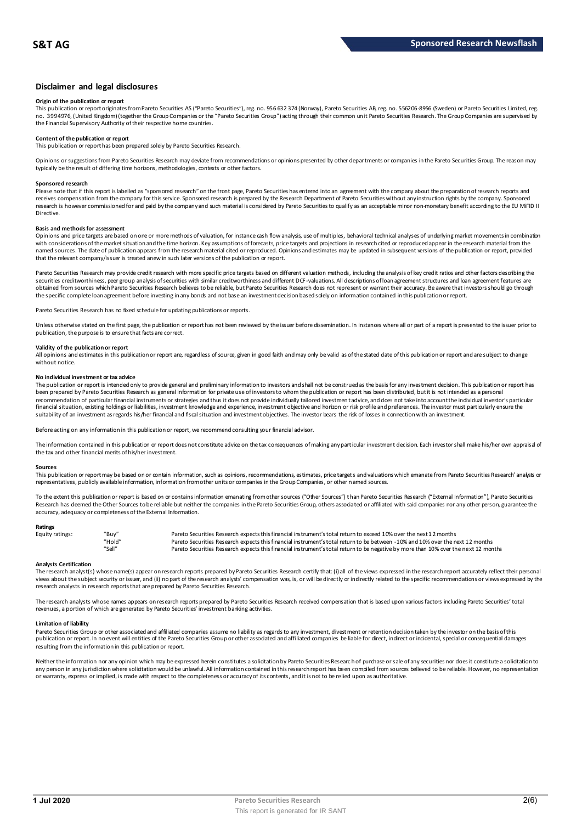# **Disclaimer and legal disclosures**

#### **Origin of the publication or report**

This publication or report originates from Pareto Securities AS ("Pareto Securities"), reg. no. 956 632 374 (Norway), Pareto Securities AB, reg. no. 556206-8956 (Sweden) or Pareto Securities Limited, reg. no. 3994976, (United Kingdom) (together the Group Companies or the "Pareto Securities Group") acting through their common un it Pareto Securities Research. The Group Companies are supervised by<br>the Financial Supervisory Au

### **Content of the publication or report**

This publication or report has been prepared solely by Pareto Securities Research.

Opinions or suggestions from Pareto Securities Research may deviate from recommendations or opinions presented by other departments or companies in the Pareto Securities Group. The reason may typically be the result of differing time horizons, methodologies, contexts or other factors.

#### **Sponsored research**

Please note that if this report is labelled as "sponsored research" on the front page, Pareto Securities has entered into an agreement with the company about the preparation of research reports and<br>receives compensation fr research is however commissioned for and paid by the company and such material is considered by Pareto Securities to qualify as an acceptable minor non-monetary benefit according to the EU MiFID II Directive.

#### **Basis and methods for assessment**

Opinions and price targets are based on one or more methods of valuation, for instance cash flow analysis, use of multiples, behavioral technical analyses of underlying market movements in combination with considerations of the market situation and the time horizon. Key assumptions of forecasts, price targets and projections in research cited or reproduced appear in the research material from the named sources. The date of publication appears from the research material cited or reproduced. Opinions and estimates may be updated in subsequent versions of the publication or report, provided that the relevant company/issuer is treated anew in such later versions of the publication or report.

Pareto Securities Research may provide credit research with more specific price targets based on different valuation methods, including the analysis of key credit ratios and other factors describing the securities creditworthiness, peer group analysis of securities with similar creditworthiness and different DCF-valuations. All descriptions of loan agreement structures and loan agreement features are obtained from sources which Pareto Securities Research believes to be reliable, but Pareto Securities Research does not represent or warrant their accuracy. Be aware that investors should go through the specific complete loan agreement before investing in any bonds and not base an investment decision based solely on information contained in this publication or report.

Pareto Securities Research has no fixed schedule for updating publications or reports.

Unless otherwise stated on the first page, the publication or report has not been reviewed by the issuer before dissemination. In instances where all or part of a report is presented to the issuer prior to publication, the purpose is to ensure that facts are correct.

### **Validity of the publication or report**

All opinions and estimates in this publication or report are, regardless of source, given in good faith and may only be valid as of the stated date of this publication or report and are subject to change without notice

#### **No individual investment or tax advice**

The publication or report is intended only to provide general and preliminary information to investors and shall not be construed as the basis for any investment decision. This publication or report has<br>been prepared by Pa recommendation of particular financial instruments or strategies and thus it does not provide individually tailored investmen t advice, and does not take into account the individual investor's particular financial situation, existing holdings or liabilities, investment knowledge and experience, investment objective and horizon or risk profile and preferences. The investor must particularly ensure the suitability of an investment as regards his/her financial and fiscal situation and investment objectives. The investor bears the risk of losses in connection with an investment.

Before acting on any information in this publication or report, we recommend consulting your financial advisor.

The information contained in this publication or report does not constitute advice on the tax consequences of making any particular investment decision. Each investor shall make his/her own appraisal of the tax and other financial merits of his/her investment.

#### **Sources**

This publication or report may be based on or contain information, such as opinions, recommendations, estimates, price targets and valuations which emanate from Pareto Securities Research' analysts or representatives, publicly available information, information from other units or companies in the Group Companies, or other named sources.

To the extent this publication or report is based on or contains information emanating from other sources ("Other Sources") than Pareto Securities Research ("External Information"), Pareto Securities Research has deemed the Other Sources to be reliable but neither the companies in the Pareto Securities Group, others associated or affiliated with said companies nor any other person, guarantee the accuracy, adequacy or completeness of the External Information.

#### **Ratings**

| Equity ratings: | "Buy"  | Pareto Securities Research expects this financial instrument's total return to exceed 10% over the next 12 months                   |
|-----------------|--------|-------------------------------------------------------------------------------------------------------------------------------------|
|                 | "Hold" | Pareto Securities Research expects this financial instrument's total return to be between -10% and 10% over the next 12 months      |
|                 | "Sell" | Pareto Securities Research expects this financial instrument's total return to be negative by more than 10% over the next 12 months |

**Analysts Certification**<br>The research analystis) whose name(s) appear on research reports prepared by Pareto Securities Research certify that: (i) all of the views expressed in the research report accurately reflect their "Hold"<br>Pareto Securities Research expects this financial instrument's total return to be between -10% and 10% over the next 12 months<br>Analysts Certification<br>The research analyst(s) whose name(s) appear on research reports research analysts in research reports that are prepared by Pareto Securities Research.

The research analysts whose names appears on research reports prepared by Pareto Securities Research received compensation that is based upon various factors including Pareto Securities' total revenues, a portion of which are generated by Pareto Securities' investment banking activities.

#### **Limitation of liability**

Pareto Securities Group or other associated and affiliated companies assume no liability as regards to any investment, divest ment or retention decision taken by the investor on the basis of this publication or report. In no event will entities of the Pareto Securities Group or other associated and affiliated companies be liable for direct, indirect or incidental, special or consequential damages resulting from the information in this publication or report.

Neither the information nor any opinion which may be expressed herein constitutes a solicitation by Pareto Securities Research of purchase or sale of any securities nor does it constitute a solicitation to any person in any jurisdiction where solicitation would be unlawful. All information contained in this research report has been compiled from sources believed to be reliable. However, no representation or warranty, express or implied, is made with respect to the completeness or accuracy of its contents, and it is not to be relied upon as authoritative.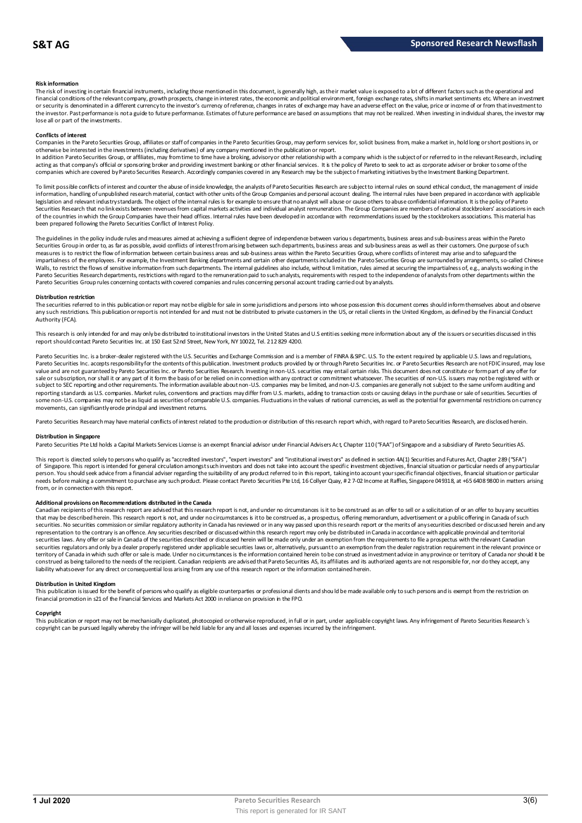#### **Risk information**

The risk of investing in certain financial instruments, including those mentioned in this document, is generally high, as their market value is exposed to a lot of different factors such as the operational and financial conditions of the relevant company, growth prospects, change in interest rates, the economic and political environment, foreign exchange rates, shifts in market sentiments etc. Where an investment or security is denominated in a different currency to the investor's currency of reference, changes in rates of exchange may have an adverse effect on the value, price or income of or from that investment to the investor. Past performance is not a guide to future performance. Estimates of future performance are based on assumptions that may not be realized. When investing in individual shares, the investor may lose all or part of the investments.

#### **Conflicts of interest**

Companies in the Pareto Securities Group, affiliates or staff of companies in the Pareto Securities Group, may perform services for, solicit business from, make a market in, hold long or short positions in, or otherwise be interested in the investments (including derivatives) of any company mentioned in the publication or report.<br>In addition Pareto Securities Group, or affiliates, may from time to time have a broking, advisory o

acting as that company's official or sponsoring broker and providing investment banking or other financial services. It is the policy of Pareto to seek to act as corporate adviser or broker to some of the companies which are covered by Pareto Securities Research. Accordingly companies covered in any Research may be the subject o f marketing initiatives by the Investment Banking Department.

To limit possible conflicts of interest and counter the abuse of inside knowledge, the analysts of Pareto Securities Research are subject to internal rules on sound ethical conduct, the management of inside information, handling of unpublished research material, contact with other units of the Group Companies and personal account dealing. The internal rules have been prepared in accordance with applicable legislation and relevant industry standards. The object of the internal rules is for example to ensure that no analyst will abuse or cause others to abuse confidential information. It is the policy of Pareto Securities Research that no link exists between revenues from capital markets activities and individual analyst remuneration. The Group Companies are members of national stockbrokers' associations in each of the countries in which the Group Companies have their head offices. Internal rules have been developed in accordance with recommendations issued by the stockbrokers associations. This material has been prepared following the Pareto Securities Conflict of Interest Policy.

The guidelines in the policy indude rules and measures aimed at achieving a sufficient degree of independence between various departments, business areas and sub-business areas within the Pareto Securities Group in order to, as far as possible, avoid conflicts of interest from arising between such departments, business areas and sub-business areas as well as their customers. One purpose of such measures is to restrict the flow of information between certain business areas and sub-business areas within the Pareto Securities Group, where conflicts of interest may arise and to safeguard the inpartialness of the empl The guidelines in the policy indude rules and measures aimed at achieving a sufficient degree of independence between various departments, business areas and sub-business areas within the Pareto<br>Securities Group in order t Pareto Securities Group rules concerning contacts with covered companies and rules concerning personal account trading carried out by analysts.

#### **Distribution restriction**

The securities referred to in this publication or report may not be eligible for sale in some jurisdictions and persons into whose possession this document comes should inform themselves about and observe Pareto Securities Group rules concerning contacts with covered companies and rules concerning personal account trading carried out by analysts.<br>Distribution restriction<br>The securities referred to in this publication or rep Authority (FCA).

This research is only intended for and may only be distributed to institutional investors in the United States and U.S entities seeking more information about any of the issuers or securities discussed in this report should contact Pareto Securities Inc. at 150 East 52nd Street, New York, NY 10022, Tel. 212 829 4200.

Pareto Securities Inc. is a broker-dealer registered with the U.S. Securities and Exchange Commission and is a member of FINRA & SIPC. U.S. To the extent required by applicable U.S. laws and regulations, Pareto Securities Inc. accepts responsibilityfor the contents of this publication. Investment products provided by or through Pareto Securities Inc. or Pareto Securities Research are not FDIC insured, may lose<br>value and ar sale or subscription, nor shall it or any part of it form the basis of or be relied on in connection with any contract or commitment whatsoever. The securities of non-U.S. issuers may not be registered with or subject to SEC reporting and other requirements. The information available about non-U.S. companies may be limited, and non-U.S. companies are generally not subject to the same unifom auditing and<br>reporting standards as U some non-U.S. companies may not be as liquid as securities of comparable U.S. companies. Fluctuations in the values of national currencies, as well as the potential for governmental restrictions on currency movements, can significantly erode principal and investment returns.

Pareto Securities Research may have material conflicts of interest related to the production or distribution of this research report which, with regard to Pareto Securities Research, are disclosed herein.

#### **Distribution in Singapore**

Pareto Securities Pte Ltd holds a Capital Markets Services License is an exempt financial advisor under Financial Advisers Ac t, Chapter 110 ("FAA") of Singapore and a subsidiary of Pareto Securities AS.

This report is directed solely to persons who qualify as "accredited investors", "expert investors" and "institutional investors" as defined in section 4A(1) Securities and Futures Act, Chapter 289 ("SFA") **Distribution in Singapore**<br>Pareto Securities Pte Ltd holds a Capital Markets Services License is an exempt financial advisor under Financial Advisers Act, Chapter 110 ("FAA") of Singapore and a subsidiary of Pareto Securi person. You should seek advice from a financial adviser regarding the suitability of any product referred to in this report, taking into account your specific financial objectives, financial situation or particular needs before making a commitment to purchase any such product. Please contact Pareto Securities Pte Ltd, 16 Collyer Quay, # 2 7-02 Income at Raffles, Singapore 049318, at +65 6408 9800 in matters arising<br>from, or in connec needs before making a commitment to purchase any such product. Please contact Pareto Securities Pte Ltd, 16 Collyer Quay, # 2 7-02 Income at Raffles, Singapore 049318, at +65 6408 9800 in matters arisin<br>from, or in connect

#### **Additional provisions on Recommendations distributed in the Canada**

That may be described herein. This research report are advised that this research report is not, and under no circumstances is it to be construed as an offer to sell or a solicitation of or an offer to buy any securities<br>t securities. No securities commission or similar regulatory authority in Canada has reviewed or in any way passed upon this research report or the merits of any securities described or discussed herein and any representation to the contrary is an offence. Any securities described or discussed within this research report may only be distributed in Canada in accordance with applicable provincial and territorial securities laws. Any offer or sale in Canada of the securities described or discussed herein will be made only under an exemption from the requirements to file a prospectus with the relevant Canadian securities regulators and only by a dealer properly registered under applicable securities laws or, alternatively, pursuant to an exemption from the dealer registration requirement in the relevant province or territory of Canada in which such offer or sale is made. Under no circumstances is the information contained herein to be construed as investment advice in any province or territory of Canada nor should it be construed as being tailored to the needs of the recipient. Canadian recipients are advised that Pareto Securities AS, its affiliates and its authorized agents are not responsible for, nor do they accept, any liability whatsoever for any direct or consequential loss arising from any use of this research report or the information contained herein.

#### **Distribution in United Kingdom**

financial promotion in s21 of the Financial Services and Markets Act 2000 in reliance on provision in the FPO.

This publication is issued for the benefit of persons who qualify as eligible counterparties or professional dients and should be made available only to such persons and is exempt from the restriction on<br>financial promotio **Copyright**<br>This publication or report may not be mechanically duplicated, photomoied or otherwise reproduced, in full or in part, under annlicable copyright laws. Any infringement of Pareto Sequities Research's copyright can be pursued legally whereby the infringer will be held liable for any and all losses and expenses incurred by the infringement.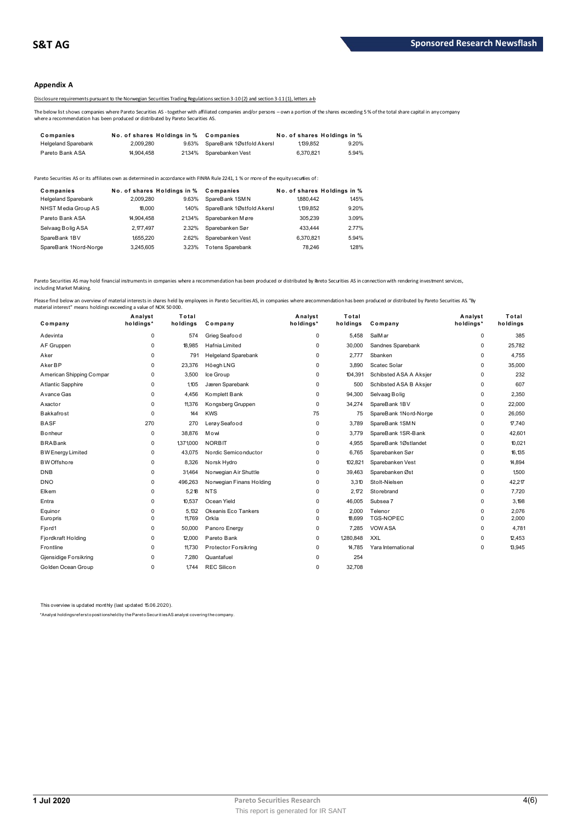# **Appendix A**

Disclosure requirements pursuant to the Norwegian Securities Trading Regulations section 3-10 (2) and section 3-11 (1), letters a-b

The below list shows companies where Pareto Securities AS - together with affiliated companies and/or persons – own a portion of the shares exceeding 5 % of the total share capital in any company<br>where a recommendation has

|                                                                                                                                                                                                                                           |                             |       | Disclosure requirements pursuant to the Norwegian Securities Trading Regulations section 3-10(2) and section 3-11(1), letters a-b |                             |       |  |
|-------------------------------------------------------------------------------------------------------------------------------------------------------------------------------------------------------------------------------------------|-----------------------------|-------|-----------------------------------------------------------------------------------------------------------------------------------|-----------------------------|-------|--|
| The below list shows companies where Pareto Securities AS - together with affiliated companies and/or persons - own a portion of the shares exceeding<br>where a recommendation has been produced or distributed by Pareto Securities AS. |                             |       |                                                                                                                                   |                             |       |  |
| Companies                                                                                                                                                                                                                                 | No. of shares Holdings in % |       | Companies                                                                                                                         | No. of shares Holdings in % |       |  |
| <b>Helgeland Sparebank</b>                                                                                                                                                                                                                | 2.009.280                   | 9.63% | SpareBank 1Østfold Akersl                                                                                                         | 1.139.852                   | 9.20% |  |
| Pareto Bank ASA                                                                                                                                                                                                                           | 14.904.458                  | 2134% | Sparebanken Vest                                                                                                                  | 6.370.821                   | 5.94% |  |

| <b>I GIULU DAIIN AUA</b>                | <b>H.JUT.TJU</b>                         |       | <u>2</u> WT/U ODDIGDOIINGIIVG3U                                                                                                       | <b>U.U.U.</b> U. | 3.5770                              |
|-----------------------------------------|------------------------------------------|-------|---------------------------------------------------------------------------------------------------------------------------------------|------------------|-------------------------------------|
|                                         |                                          |       | Pareto Securities AS or its affiliates own as determined in accordance with FINRA Rule 2241. 1 % or more of the equity securijes of : |                  |                                     |
| Companies<br><b>Helgeland Sparebank</b> | No. of shares Holdings in %<br>2.009.280 | 9.63% | Companies<br>SpareBank 1SMN                                                                                                           | 1880.442         | No. of shares Holdings in %<br>145% |
| NHST Media Group AS                     | 18.000                                   | 140%  | SpareBank 1Østfold Akersl                                                                                                             | 1.139.852        | 9.20%                               |
| Pareto Bank ASA                         | 14.904.458                               | 2134% | Sparebanken Møre                                                                                                                      | 305.239          | 3.09%                               |
| Selvaag Bolig ASA                       | 2.177.497                                | 2.32% | Sparebanken Sør                                                                                                                       | 433,444          | 2.77%                               |
| SpareBank 1BV                           | 1655.220                                 | 2.62% | Sparebanken Vest                                                                                                                      | 6.370.821        | 5.94%                               |
| SpareBank 1Nord-Norge                   | 3.245.605                                | 3.23% | <b>Totens Sparebank</b>                                                                                                               | 78.246           | 128%                                |
|                                         |                                          |       |                                                                                                                                       |                  |                                     |

Pareto Securities AS may hold financial instruments in companies where a recommendation has been produced or distributed by Pareto Securities AS in connection with rendering investment services,<br>including Market Making.

| Company                  | Analyst<br>holdings* | Total<br>holdings | Company                    | Analyst<br>holdings* | Total<br>holdings | Company                | Analyst<br>holdings* | Total<br>holdings |
|--------------------------|----------------------|-------------------|----------------------------|----------------------|-------------------|------------------------|----------------------|-------------------|
| Adevinta                 | 0                    | 574               | Grieg Seafood              | $\mathbf 0$          | 5.458             | SalM ar                | 0                    | 385               |
| AF Gruppen               | 0                    | 18,985            | Hafnia Limited             | 0                    | 30,000            | Sandnes Sparebank      | 0                    | 25.782            |
| Aker                     | 0                    | 791               | <b>Helgeland Sparebank</b> | 0                    | 2,777             | Sbanken                | 0                    | 4,755             |
| Aker BP                  | $\Omega$             | 23,376            | Höegh LNG                  | 0                    | 3,890             | Scatec Solar           | 0                    | 35,000            |
| American Shipping Compar | 0                    | 3,500             | Ice Group                  | $\Omega$             | 104,391           | Schibsted ASA A Aksjer | 0                    | 232               |
| <b>Atlantic Sapphire</b> | $\Omega$             | 1.105             | Jæren Sparebank            | $\Omega$             | 500               | Schibsted ASA B Aksjer | 0                    | 607               |
| Avance Gas               | $\Omega$             | 4.456             | Komplett Bank              | $\Omega$             | 94,300            | Selvaag Bolig          | 0                    | 2,350             |
| Axactor                  | 0                    | 11.376            | Kongsberg Gruppen          | 0                    | 34.274            | SpareBank 1BV          | 0                    | 22,000            |
| Bakkafrost               | 0                    | 144               | <b>KWS</b>                 | 75                   | 75                | SpareBank 1Nord-Norge  | 0                    | 26,050            |
| <b>BASF</b>              | 270                  | 270               | Lerøy Seafood              | 0                    | 3.789             | SpareBank 1SMN         | 0                    | 17.740            |
| <b>Bonheur</b>           | 0                    | 38,876            | Mowi                       | 0                    | 3.779             | SpareBank 1SR-Bank     | 0                    | 42,601            |
| <b>BRABank</b>           | $\Omega$             | 1,371,000         | <b>NORBIT</b>              | 0                    | 4,955             | SpareBank 1Østlandet   | 0                    | 10,021            |
| <b>BW Energy Limited</b> | 0                    | 43,075            | Nordic Semiconductor       | 0                    | 6,765             | Sparebanken Sør        | 0                    | 16,135            |
| <b>BW</b> Offshore       | $\Omega$             | 8,326             | Norsk Hydro                | $\Omega$             | 102,821           | Sparebanken Vest       | 0                    | 14,894            |
| <b>DNB</b>               | $\Omega$             | 31464             | Norwegian Air Shuttle      | $\Omega$             | 39,463            | Sparebanken Øst        | 0                    | 1500              |
| <b>DNO</b>               | $\Omega$             | 496,263           | Norwegian Finans Holding   | 0                    | 3.310             | Stolt-Nielsen          | 0                    | 42,217            |
| Elkem                    | 0                    | 5,218             | <b>NTS</b>                 | 0                    | 2.172             | <b>Storebrand</b>      | 0                    | 7.720             |
| Entra                    | 0                    | 10,537            | Ocean Yield                | 0                    | 46,005            | Subsea 7               | 0                    | 3,198             |
| Equinor                  | 0                    | 5.132             | Okeanis Eco Tankers        | 0                    | 2.000             | Telenor                | 0                    | 2,076             |
| <b>Europris</b>          | $\Omega$             | 11,769            | Orkla                      | $\Omega$             | 18,699            | <b>TGS-NOPEC</b>       | 0                    | 2,000             |
| Fjord1                   | $\Omega$             | 50,000            | Panoro Energy              | 0                    | 7,285             | <b>VOWASA</b>          | 0                    | 4,781             |
| Fjordkraft Holding       | 0                    | 12,000            | Pareto Bank                | 0                    | 1280,848          | <b>XXL</b>             | 0                    | 12,453            |
| Frontline                | $\Omega$             | 11.730            | Protector Forsikring       | 0                    | 14,785            | Yara International     | 0                    | 13,945            |
| Gjensidige Forsikring    | $\Omega$             | 7,280             | Quantafuel                 | $\Omega$             | 254               |                        |                      |                   |
| Golden Ocean Group       | $\Omega$             | 1.744             | <b>REC Silicon</b>         | 0                    | 32,708            |                        |                      |                   |

This overview is updated monthly (last updated 15.06.2020).

\*Analyst holdings ref ers t o posit ions held by t he Paret o Securit ies AS analyst covering t he company.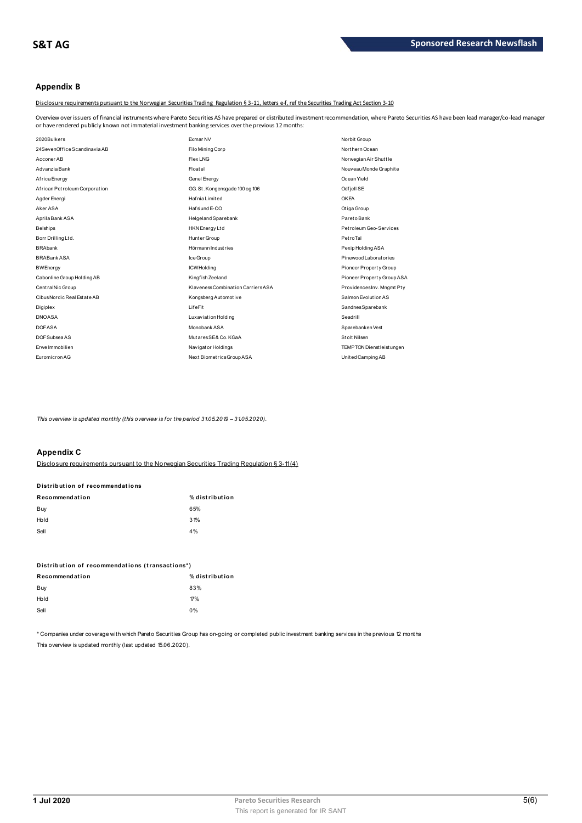# **Appendix B**

Disclosure requirements pursuant to the Norwegian Securities Trading Regulation § 3-11, letters e-f, ref the Securities Trading Act Section 3-10

Overview over issuers of financial instruments where Pareto Securities AS have prepared or distributed investment recommendation, where Pareto Securities AS have been lead manager/co-lead manager<br>or have rendered publicly

| or have rendered publicly known not immaterial investment banking services over the previous 12 months: |                                    |                                  |
|---------------------------------------------------------------------------------------------------------|------------------------------------|----------------------------------|
| 2020Bulkers                                                                                             | Exmar NV                           | Norbit Group                     |
| 24 Seven Office Scandinavia AB                                                                          | Filo Mining Corp                   | Northern Ocean                   |
| Acconer AB                                                                                              | Flex LNG                           | Norwegian Air Shuttle            |
| Advanzia Bank                                                                                           | Floatel                            | Nouveau Monde Graphite           |
| Africa Energy                                                                                           | Genel Energy                       | Ocean Yield                      |
| African Petroleum Corporation                                                                           | GG. St. Kongensgade 100 og 106     | Odfjell SE                       |
| Agder Energi                                                                                            | Hafnia Limited                     | <b>OKEA</b>                      |
| Aker ASA                                                                                                | Hafslund E-CO                      | Otiga Group                      |
| Aprila Bank ASA                                                                                         | Helgeland Sparebank                | ParetoBank                       |
| <b>Belships</b>                                                                                         | HKN Energy Ltd                     | Petroleum Geo-Services           |
| Borr Drilling Ltd.                                                                                      | Hunter Group                       | PetroTal                         |
| <b>BRAbank</b>                                                                                          | Hörmann Industries                 | Pexip Holding ASA                |
| <b>BRABank ASA</b>                                                                                      | Ice Group                          | Pinewood Laborat ories           |
| <b>BWEnergy</b>                                                                                         | <b>ICWHolding</b>                  | Pioneer Property Group           |
| Cabonline Group Holding AB                                                                              | Kingfish Zeeland                   | Pioneer Property Group ASA       |
| CentralNic Group                                                                                        | Klaveness Combination Carriers ASA | ProvidencesInv. Mngmt Pty        |
| Cibus Nordic Real Est at e AB                                                                           | Kongsberg Automotive               | Salmon Evolution AS              |
| Digiplex                                                                                                | LifeFit                            | SandnesSparebank                 |
| <b>DNOASA</b>                                                                                           | Luxaviation Holding                | Seadrill                         |
| <b>DOFASA</b>                                                                                           | Monobank ASA                       | Sparebanken Vest                 |
| DOF Subsea AS                                                                                           | MutaresSE& Co. KGaA                | Stolt Nilsen                     |
| Erwe Immobilien                                                                                         | Navigator Holdings                 | <b>TEMPTON Dienstleist ungen</b> |
| Euromicron AG                                                                                           | Next BiometricsGroup ASA           | United Camping AB                |

*This overview is updated monthly (this overview is for the period 31.05.2019 – 31.05.2020).*

# **Appendix C**

| <b>APPULLAN</b>                 |                                                                                            |
|---------------------------------|--------------------------------------------------------------------------------------------|
|                                 | Disclosure requirements pursuant to the Norwegian Securities Trading Requisition § 3-11(4) |
| Distribution of recommendations |                                                                                            |
| Recommendation                  | % distribution                                                                             |
| Buy                             | 65%                                                                                        |
| Hold                            | 31%                                                                                        |
| Sell                            | 4%                                                                                         |
|                                 |                                                                                            |

| $\sim$                                          | $\mathbf{v}$   |
|-------------------------------------------------|----------------|
| Distribution of recommendations (transactions*) |                |
| Recommendation                                  | % distribution |
| Buy                                             | 83%            |
| Hold                                            | 17%            |
| Sell                                            | 0%             |
|                                                 |                |

\* Companies under coverage with which Pareto Securities Group has on-going or completed public investment banking services in the previous 12 months This overview is updated monthly (last updated 15.06.2020).